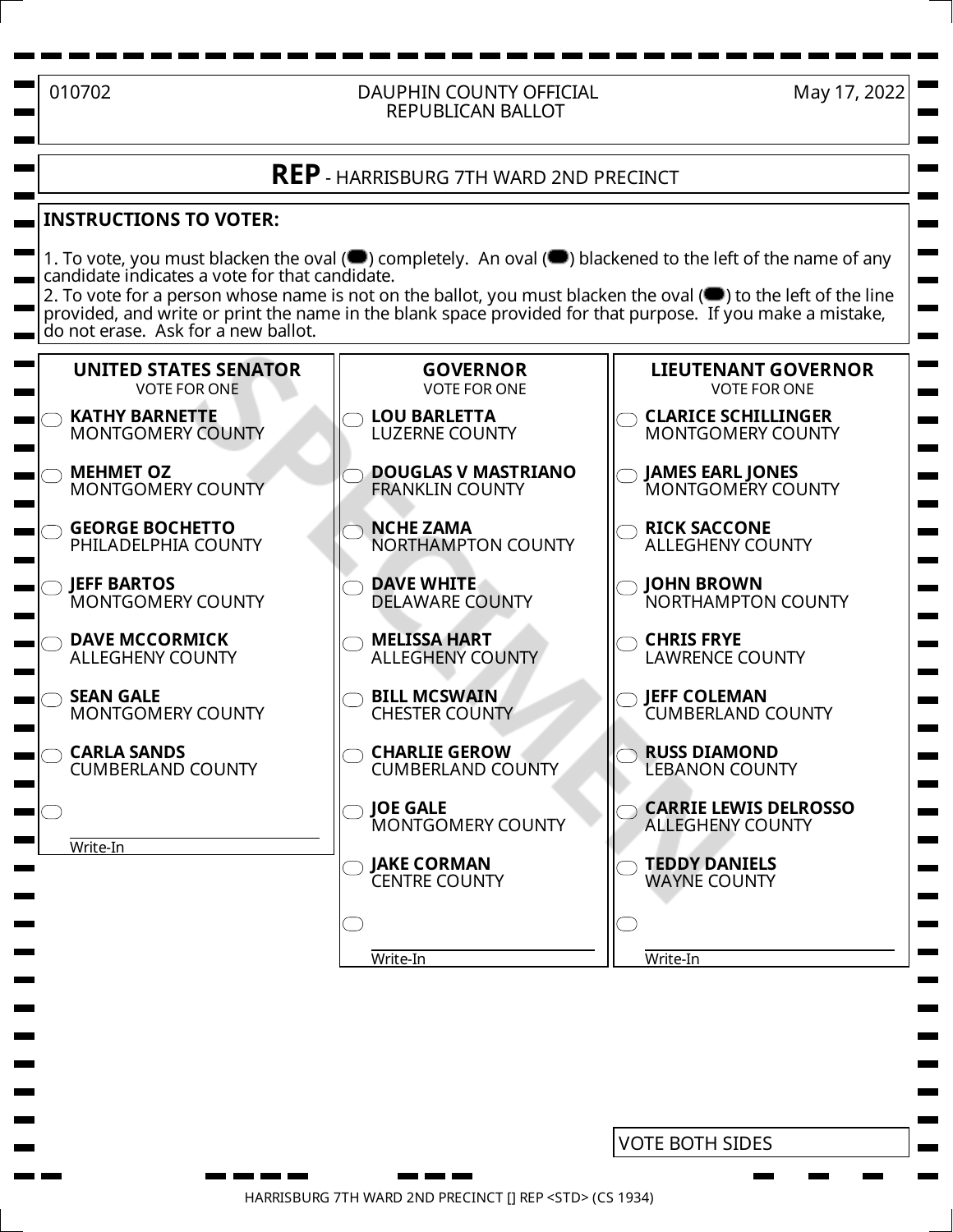## 010702 DAUPHIN COUNTY OFFICIAL REPUBLICAN BALLOT

May 17, 2022

## **REP** - HARRISBURG 7TH WARD 2ND PRECINCT

## **INSTRUCTIONS TO VOTER:**

1. To vote, you must blacken the oval ( $\blacksquare$ ) completely. An oval ( $\blacksquare$ ) blackened to the left of the name of any candidate indicates a vote for that candidate.

2. To vote for a person whose name is not on the ballot, you must blacken the oval ( $\blacksquare$ ) to the left of the line provided, and write or print the name in the blank space provided for that purpose. If you make a mistake, do not erase. Ask for a new ballot.